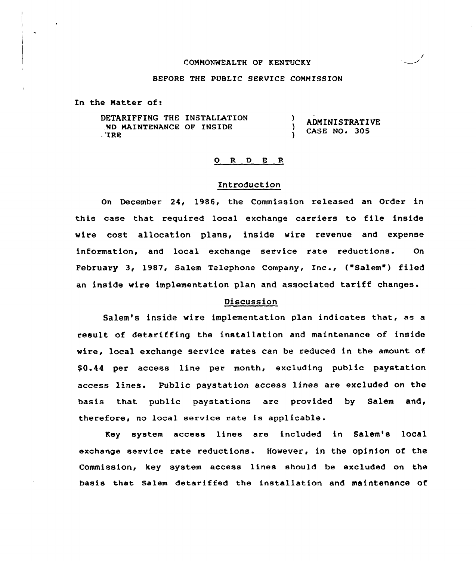#### COMMONWEALTH OF KENTUC KY

#### BEFORE THE PUBLIC SERVICE COMMISSION

In the Matter of:

DETARIFFING THE INSTALLATION Y ADMINISTRATIVE ND MAINTENANCE OF INSIDE ١. CASE NO. 305 , 'IRE

## 0 R <sup>D</sup> E R

## Introduction

On December 24, 1986, the Commission released an Order in this case that required local exchange carriers to file inside wire cost allocation plans, inside wire revenue and expense information, and local exchange service rate reductions. On February 3, 1987, Salem Telephone Company, Inc., ("Salem") filed an inside wire implementation plan and associated tariff changes.

#### Discussion

Salem's inside wire implementation plan indicates that, as a result of detariffing the installation and maintenance of inside wire, local exchange service rates can be reduced in the amount of \$ 0.44 per access line per month, excluding public paystation access lines. Public paystation access lines are excluded on the basis that public paystations are provided by Salem and, therefore, no local service rate is applicable.

Key system access lines are included in Salem's local exchange service rate reductions. However, in the opinion of the Commission, key system access lines should be excluded on the basis that Salem detariffed the installation and maintenance of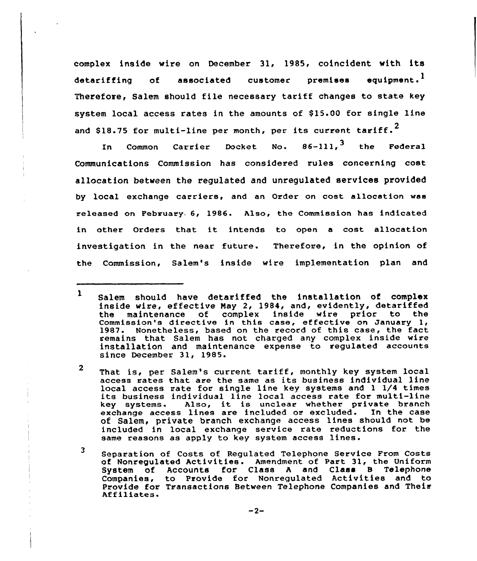complex inside wire on December 31, 1985, coincident with its detariffing of associated customer premises equipment.<sup>1</sup> Therefore, Salem should file necessary tariff changes to state key system local access rates in the amounts of \$15.00 for single line and \$18.75 for multi-line per month, per its current tariff.<sup>2</sup>

In Common Carrier Docket No. 86-111, $^{\mathbf{3}}$  the Federa Communications Commission has considered rules concerning cost allocation between the regulated and unregulated services provided by local exchange carriers, and an Order on cost allocation was released on February. 6, 1986. Also, the Commission has indicated in other Orders that it intends to open <sup>a</sup> cost allocation investigation in the near future. Therefore, in the opinion of the Commission, Salem's inside wire implementation plan and

 $\mathbf{2}$ That is, per Salem's current tariff, monthly key system local access rates that are the same as its business individual line<br>local access rate for single line key systems and 1 1/4 times its business individual line local access rate for multi-line<br>key systems. Also, it is unclear whether private branch Also, it is unclear whether private branch<br>s lines are included or excluded. In the case exchange access lines are included or excluded. of Salem, private branch exchange access lines should not be included in local exchange service rate reductions for the same reasons as apply to key system access lines.

<sup>3</sup> Separation of Costs of Regulated Telephone Service From Costs of Nonregulated Activities. Amendment of Part 31, the Uniform System of Accounts for Class <sup>A</sup> and Class S Telephone Companies, to Provide for Nonregulated Activities and to Provide for Transactions Between Telephone Companies and Their<br>Affiliates.

 $\mathbf{1}$ Salem should have detariffed the installation of complex inside wire, effective Nay 2, 1984, and, evidently, detariffed the maintenance of complex inside wire prior to the<br>Commission's directive in this case, effective on January 1, 1987. Nonetheless, based on the record of this case, the fact remains that Salem has not charged any complex inside wire installation and maintenance expense to regulated accounts since December 31, 1985.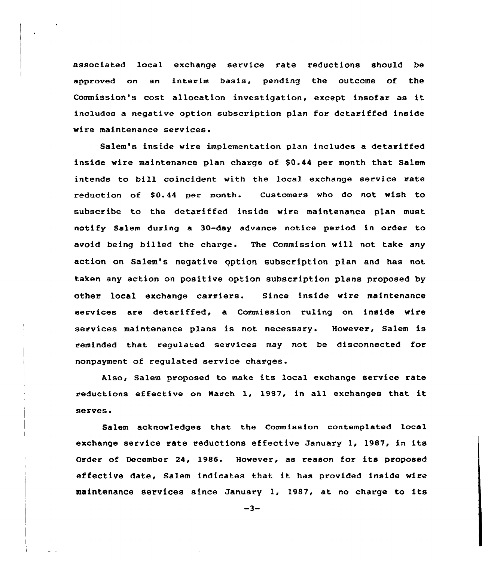associated local exchange service rate reductions should be approved on an interim basis, pending the outcome of the Commission's cost allocation investigation, except insofar as it includes a negative option subscription plan for detariffed inside wire maintenance services

Salem's inside wire implementation plan includes a detariffed inside wire maintenance plan charge of \$0.44 per month that Salem intends to bill coincident with the local exchange service rate reduction of \$0.44 per month. Customers who do not wish to subscribe to the detariffed inside wire maintenance plan must notify Salem during a 30-day advance notice period in order to avoid being billed the charge. The Commission will not take any action on Salem's negative option subscription plan and has not taken any action on positive option subscription plans proposed by other local exchange carriers. Since inside wire maintenance services are detariffed, a Commission ruling on inside wire services maintenance plans is not necessary. However, Salem is reminded that regulated services may not be disconnected for nonpayment of regulated service charges.

Also, Salem proposed to make its local exchange service rate reductions effective on March 1, 1987, in all exchanges that it serves.

Salem acknowledges that the Commission contemplated local exchange service rate reductions effective January 1, 1987, in its Order of December 24, 1986. However, as reason for its proposed effective date, Salem indicates that it has provided inside wire maintenance services since January 1, 1987, at no charge to its

 $-3-$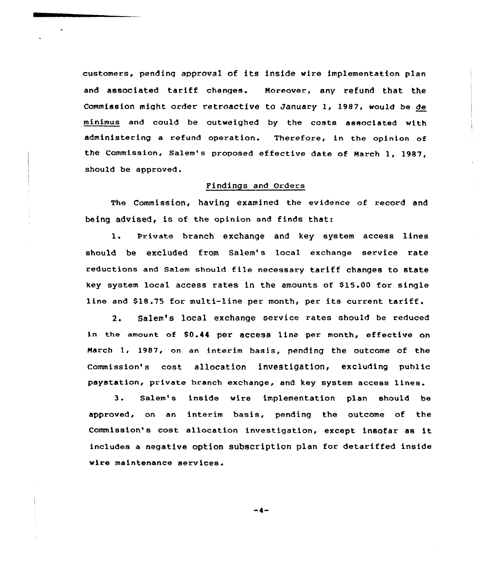customers, pending approva1 of its inside wire implementation plan and associated tariff changes. Moreover, any refund that the Commission might order retroactive to January 1, 1987, would be de minimus and could be outweighed by the costs associated with administering a refund operation. Therefore, in the opinion of the Commission, Salem's proposed effective date of March 1, 1987, should be approved.

# Findings and Orders

The Commission, having examined the evidence of record and being advised, is of the opinion and finds that:

l. Private branch exchange and key system access lines should be excluded from Salem's local exchange service rate reductions and Salem should file necessary tariff changes to state key system local access rates in the amounts of \$15.00 for single line and \$18.75 for multi-line per month, per its current tariff.

2. Salem's local exchange service rates should be reduced in the amount of \$0.44 per access line per month, effective on March 1, 1987, on an interim basis, pending the outcome of the commission's cost allocation investigation, excluding public paystation, private branch exchange, and key system access lines.

3. Salem's inside wire implementation plan should be approved, on an interim basis, pending the outcome of the Commission's cost allocation investigation, except insofar as it includes a negative option subscription plan for detariffed inside wire maintenance services.